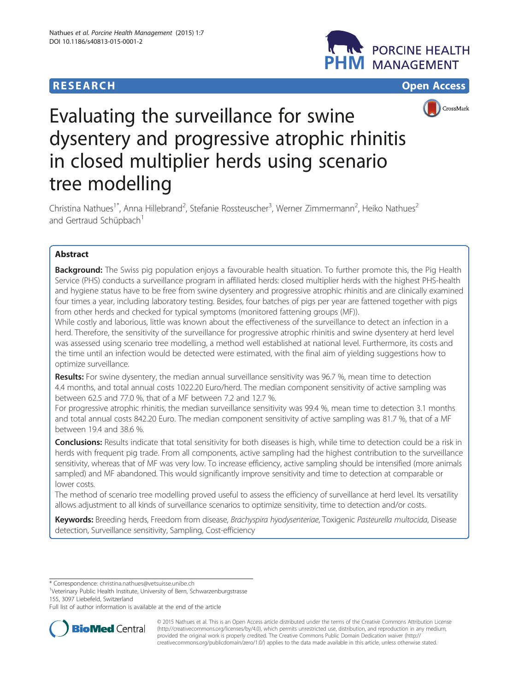# **RESEARCH RESEARCH** *CHECK CHECK CHECK CHECK CHECK CHECK CHECK CHECK CHECK CHECK CHECK CHECK CHECK CHECK CHECK CHECK CHECK CHECK CHECK CHECK CHECK CHECK CHECK CHECK CHECK CHECK CHECK CHECK CHECK CHECK CHECK CHECK CHECK*







# Evaluating the surveillance for swine dysentery and progressive atrophic rhinitis in closed multiplier herds using scenario tree modelling

Christina Nathues<sup>1\*</sup>, Anna Hillebrand<sup>2</sup>, Stefanie Rossteuscher<sup>3</sup>, Werner Zimmermann<sup>2</sup>, Heiko Nathues<sup>2</sup> and Gertraud Schüpbach<sup>1</sup>

## Abstract

Background: The Swiss pig population enjoys a favourable health situation. To further promote this, the Pig Health Service (PHS) conducts a surveillance program in affiliated herds: closed multiplier herds with the highest PHS-health and hygiene status have to be free from swine dysentery and progressive atrophic rhinitis and are clinically examined four times a year, including laboratory testing. Besides, four batches of pigs per year are fattened together with pigs from other herds and checked for typical symptoms (monitored fattening groups (MF)).

While costly and laborious, little was known about the effectiveness of the surveillance to detect an infection in a herd. Therefore, the sensitivity of the surveillance for progressive atrophic rhinitis and swine dysentery at herd level was assessed using scenario tree modelling, a method well established at national level. Furthermore, its costs and the time until an infection would be detected were estimated, with the final aim of yielding suggestions how to optimize surveillance.

Results: For swine dysentery, the median annual surveillance sensitivity was 96.7 %, mean time to detection 4.4 months, and total annual costs 1022.20 Euro/herd. The median component sensitivity of active sampling was between 62.5 and 77.0 %, that of a MF between 7.2 and 12.7 %.

For progressive atrophic rhinitis, the median surveillance sensitivity was 99.4 %, mean time to detection 3.1 months and total annual costs 842.20 Euro. The median component sensitivity of active sampling was 81.7 %, that of a MF between 19.4 and 38.6 %.

Conclusions: Results indicate that total sensitivity for both diseases is high, while time to detection could be a risk in herds with frequent pig trade. From all components, active sampling had the highest contribution to the surveillance sensitivity, whereas that of MF was very low. To increase efficiency, active sampling should be intensified (more animals sampled) and MF abandoned. This would significantly improve sensitivity and time to detection at comparable or lower costs.

The method of scenario tree modelling proved useful to assess the efficiency of surveillance at herd level. Its versatility allows adjustment to all kinds of surveillance scenarios to optimize sensitivity, time to detection and/or costs.

Keywords: Breeding herds, Freedom from disease, Brachyspira hyodysenteriae, Toxigenic Pasteurella multocida, Disease detection, Surveillance sensitivity, Sampling, Cost-efficiency

\* Correspondence: [christina.nathues@vetsuisse.unibe.ch](mailto:christina.nathues@vetsuisse.unibe.ch) <sup>1</sup>

<sup>1</sup>Veterinary Public Health Institute, University of Bern, Schwarzenburgstrasse 155, 3097 Liebefeld, Switzerland

Full list of author information is available at the end of the article



© 2015 Nathues et al. This is an Open Access article distributed under the terms of the Creative Commons Attribution License [\(http://creativecommons.org/licenses/by/4.0\)](http://creativecommons.org/licenses/by/4.0), which permits unrestricted use, distribution, and reproduction in any medium, provided the original work is properly credited. The Creative Commons Public Domain Dedication waiver [\(http://](http://creativecommons.org/publicdomain/zero/1.0/) [creativecommons.org/publicdomain/zero/1.0/\)](http://creativecommons.org/publicdomain/zero/1.0/) applies to the data made available in this article, unless otherwise stated.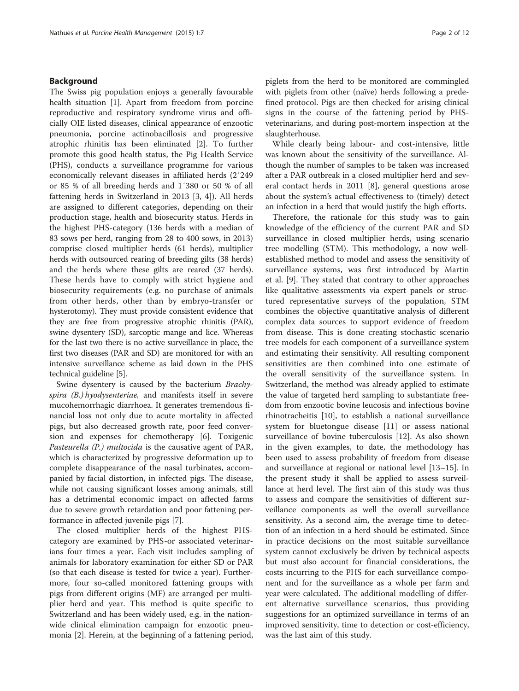## Background

The Swiss pig population enjoys a generally favourable health situation [[1\]](#page-11-0). Apart from freedom from porcine reproductive and respiratory syndrome virus and officially OIE listed diseases, clinical appearance of enzootic pneumonia, porcine actinobacillosis and progressive atrophic rhinitis has been eliminated [\[2](#page-11-0)]. To further promote this good health status, the Pig Health Service (PHS), conducts a surveillance programme for various economically relevant diseases in affiliated herds (2′249 or 85 % of all breeding herds and 1′380 or 50 % of all fattening herds in Switzerland in 2013 [\[3](#page-11-0), [4\]](#page-11-0)). All herds are assigned to different categories, depending on their production stage, health and biosecurity status. Herds in the highest PHS-category (136 herds with a median of 83 sows per herd, ranging from 28 to 400 sows, in 2013) comprise closed multiplier herds (61 herds), multiplier herds with outsourced rearing of breeding gilts (38 herds) and the herds where these gilts are reared (37 herds). These herds have to comply with strict hygiene and biosecurity requirements (e.g. no purchase of animals from other herds, other than by embryo-transfer or hysterotomy). They must provide consistent evidence that they are free from progressive atrophic rhinitis (PAR), swine dysentery (SD), sarcoptic mange and lice. Whereas for the last two there is no active surveillance in place, the first two diseases (PAR and SD) are monitored for with an intensive surveillance scheme as laid down in the PHS technical guideline [\[5\]](#page-11-0).

Swine dysentery is caused by the bacterium Brachyspira (B.) hyodysenteriae, and manifests itself in severe mucohemorrhagic diarrhoea. It generates tremendous financial loss not only due to acute mortality in affected pigs, but also decreased growth rate, poor feed conversion and expenses for chemotherapy [[6\]](#page-11-0). Toxigenic Pasteurella (P.) multocida is the causative agent of PAR, which is characterized by progressive deformation up to complete disappearance of the nasal turbinates, accompanied by facial distortion, in infected pigs. The disease, while not causing significant losses among animals, still has a detrimental economic impact on affected farms due to severe growth retardation and poor fattening performance in affected juvenile pigs [[7\]](#page-11-0).

The closed multiplier herds of the highest PHScategory are examined by PHS-or associated veterinarians four times a year. Each visit includes sampling of animals for laboratory examination for either SD or PAR (so that each disease is tested for twice a year). Furthermore, four so-called monitored fattening groups with pigs from different origins (MF) are arranged per multiplier herd and year. This method is quite specific to Switzerland and has been widely used, e.g. in the nationwide clinical elimination campaign for enzootic pneumonia [[2](#page-11-0)]. Herein, at the beginning of a fattening period,

piglets from the herd to be monitored are commingled with piglets from other (naïve) herds following a predefined protocol. Pigs are then checked for arising clinical signs in the course of the fattening period by PHSveterinarians, and during post-mortem inspection at the slaughterhouse.

While clearly being labour- and cost-intensive, little was known about the sensitivity of the surveillance. Although the number of samples to be taken was increased after a PAR outbreak in a closed multiplier herd and several contact herds in 2011 [\[8](#page-11-0)], general questions arose about the system's actual effectiveness to (timely) detect an infection in a herd that would justify the high efforts.

Therefore, the rationale for this study was to gain knowledge of the efficiency of the current PAR and SD surveillance in closed multiplier herds, using scenario tree modelling (STM). This methodology, a now wellestablished method to model and assess the sensitivity of surveillance systems, was first introduced by Martin et al. [[9\]](#page-11-0). They stated that contrary to other approaches like qualitative assessments via expert panels or structured representative surveys of the population, STM combines the objective quantitative analysis of different complex data sources to support evidence of freedom from disease. This is done creating stochastic scenario tree models for each component of a surveillance system and estimating their sensitivity. All resulting component sensitivities are then combined into one estimate of the overall sensitivity of the surveillance system. In Switzerland, the method was already applied to estimate the value of targeted herd sampling to substantiate freedom from enzootic bovine leucosis and infectious bovine rhinotracheitis [[10\]](#page-11-0), to establish a national surveillance system for bluetongue disease [\[11](#page-11-0)] or assess national surveillance of bovine tuberculosis [[12](#page-11-0)]. As also shown in the given examples, to date, the methodology has been used to assess probability of freedom from disease and surveillance at regional or national level [[13](#page-11-0)–[15](#page-11-0)]. In the present study it shall be applied to assess surveillance at herd level. The first aim of this study was thus to assess and compare the sensitivities of different surveillance components as well the overall surveillance sensitivity. As a second aim, the average time to detection of an infection in a herd should be estimated. Since in practice decisions on the most suitable surveillance system cannot exclusively be driven by technical aspects but must also account for financial considerations, the costs incurring to the PHS for each surveillance component and for the surveillance as a whole per farm and year were calculated. The additional modelling of different alternative surveillance scenarios, thus providing suggestions for an optimized surveillance in terms of an improved sensitivity, time to detection or cost-efficiency, was the last aim of this study.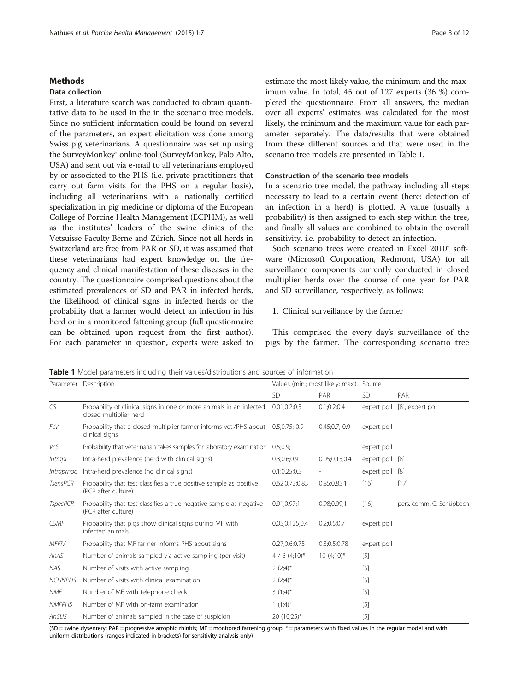## <span id="page-2-0"></span>**Methods**

## Data collection

First, a literature search was conducted to obtain quantitative data to be used in the in the scenario tree models. Since no sufficient information could be found on several of the parameters, an expert elicitation was done among Swiss pig veterinarians. A questionnaire was set up using the SurveyMonkey® online-tool (SurveyMonkey, Palo Alto, USA) and sent out via e-mail to all veterinarians employed by or associated to the PHS (i.e. private practitioners that carry out farm visits for the PHS on a regular basis), including all veterinarians with a nationally certified specialization in pig medicine or diploma of the European College of Porcine Health Management (ECPHM), as well as the institutes' leaders of the swine clinics of the Vetsuisse Faculty Berne and Zürich. Since not all herds in Switzerland are free from PAR or SD, it was assumed that these veterinarians had expert knowledge on the frequency and clinical manifestation of these diseases in the country. The questionnaire comprised questions about the estimated prevalences of SD and PAR in infected herds, the likelihood of clinical signs in infected herds or the probability that a farmer would detect an infection in his herd or in a monitored fattening group (full questionnaire can be obtained upon request from the first author). For each parameter in question, experts were asked to estimate the most likely value, the minimum and the maximum value. In total, 45 out of 127 experts (36 %) completed the questionnaire. From all answers, the median over all experts' estimates was calculated for the most likely, the minimum and the maximum value for each parameter separately. The data/results that were obtained from these different sources and that were used in the scenario tree models are presented in Table 1.

## Construction of the scenario tree models

In a scenario tree model, the pathway including all steps necessary to lead to a certain event (here: detection of an infection in a herd) is plotted. A value (usually a probability) is then assigned to each step within the tree, and finally all values are combined to obtain the overall sensitivity, i.e. probability to detect an infection.

Such scenario trees were created in Excel 2010® software (Microsoft Corporation, Redmont, USA) for all surveillance components currently conducted in closed multiplier herds over the course of one year for PAR and SD surveillance, respectively, as follows:

## 1. Clinical surveillance by the farmer

This comprised the every day's surveillance of the pigs by the farmer. The corresponding scenario tree

|                   | Parameter Description                                                                         | Values (min.; most likely; max.) |                          | Source          |                          |
|-------------------|-----------------------------------------------------------------------------------------------|----------------------------------|--------------------------|-----------------|--------------------------|
|                   |                                                                                               | SD                               | PAR                      | <b>SD</b>       | <b>PAR</b>               |
| CS                | Probability of clinical signs in one or more animals in an infected<br>closed multiplier herd | 0.01; 0.2; 0.5                   | 0.1; 0.2; 0.4            | expert poll     | [8], expert poll         |
| FcV               | Probability that a closed multiplier farmer informs vet./PHS about<br>clinical signs          | 0.5:0.75:0.9                     | 0.45;0.7;0.9             | expert poll     |                          |
| VcS               | Probability that veterinarian takes samples for laboratory examination                        | 0.5;0.9;1                        |                          | expert poll     |                          |
| Intrapr           | Intra-herd prevalence (herd with clinical signs)                                              | 0.3;0.6;0.9                      | 0.05; 0.15; 0.4          | expert poll [8] |                          |
| <i>Intraprnoc</i> | Intra-herd prevalence (no clinical signs)                                                     | 0.1; 0.25; 0.5                   | $\overline{\phantom{a}}$ | expert poll     | [8]                      |
| <b>TsensPCR</b>   | Probability that test classifies a true positive sample as positive<br>(PCR after culture)    | 0.62;0.73;0.83                   | 0.85;0.85;1              | [16]            | $[17]$                   |
| <b>TspecPCR</b>   | Probability that test classifies a true negative sample as negative<br>(PCR after culture)    | 0.91; 0.97; 1                    | 0.98;0.99;1              | [16]            | pers. comm. G. Schüpbach |
| <b>CSMF</b>       | Probability that pigs show clinical signs during MF with<br>infected animals                  | 0.05;0.125;0.4                   | 0.2;0.5;0.7              | expert poll     |                          |
| <b>MFFiV</b>      | Probability that MF farmer informs PHS about signs                                            | 0.27;0.6;0.75                    | 0.3;0.5;0.78             | expert poll     |                          |
| AnAS              | Number of animals sampled via active sampling (per visit)                                     | $4/6$ (4;10) <sup>*</sup>        | $10(4;10)^*$             | $[5]$           |                          |
| <b>NAS</b>        | Number of visits with active sampling                                                         | $2(2,4)^{*}$                     |                          | $[5]$           |                          |
| <b>NCLINPHS</b>   | Number of visits with clinical examination                                                    | $2(2,4)^{*}$                     |                          | $[5]$           |                          |
| <b>NMF</b>        | Number of MF with telephone check                                                             | $3(1,4)^{*}$                     |                          | $[5]$           |                          |
| <b>NMFPHS</b>     | Number of MF with on-farm examination                                                         | $1(1,4)^{*}$                     |                          | $[5]$           |                          |
| AnSUS             | Number of animals sampled in the case of suspicion                                            | 20 (10;25)*                      |                          | $[5]$           |                          |

Table 1 Model parameters including their values/distributions and sources of information

(SD = swine dysentery; PAR = progressive atrophic rhinitis; MF = monitored fattening group; \* = parameters with fixed values in the regular model and with uniform distributions (ranges indicated in brackets) for sensitivity analysis only)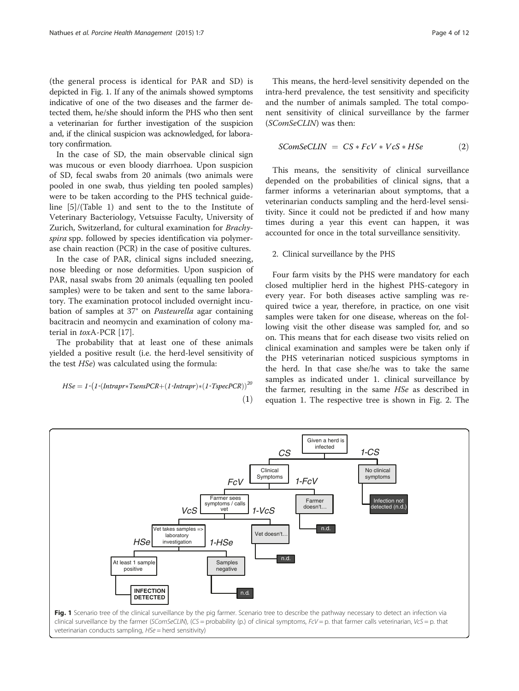(the general process is identical for PAR and SD) is depicted in Fig. 1. If any of the animals showed symptoms indicative of one of the two diseases and the farmer detected them, he/she should inform the PHS who then sent a veterinarian for further investigation of the suspicion and, if the clinical suspicion was acknowledged, for laboratory confirmation.

In the case of SD, the main observable clinical sign was mucous or even bloody diarrhoea. Upon suspicion of SD, fecal swabs from 20 animals (two animals were pooled in one swab, thus yielding ten pooled samples) were to be taken according to the PHS technical guideline [\[5](#page-11-0)]/(Table [1\)](#page-2-0) and sent to the to the Institute of Veterinary Bacteriology, Vetsuisse Faculty, University of Zurich, Switzerland, for cultural examination for Brachyspira spp. followed by species identification via polymerase chain reaction (PCR) in the case of positive cultures.

In the case of PAR, clinical signs included sneezing, nose bleeding or nose deformities. Upon suspicion of PAR, nasal swabs from 20 animals (equalling ten pooled samples) were to be taken and sent to the same laboratory. The examination protocol included overnight incubation of samples at 37° on Pasteurella agar containing bacitracin and neomycin and examination of colony material in toxA-PCR [[17\]](#page-11-0).

The probability that at least one of these animals yielded a positive result (i.e. the herd-level sensitivity of the test HSe) was calculated using the formula:

$$
HSe = 1 - \left(1 - \left(Intrapr*TsensPCR + \left(1 - Intrapr\right) * \left(1 - TspecPCR\right)\right)^{20}\right)\tag{1}
$$

This means, the herd-level sensitivity depended on the intra-herd prevalence, the test sensitivity and specificity and the number of animals sampled. The total component sensitivity of clinical surveillance by the farmer (SComSeCLIN) was then:

$$
SComSeCLIN = CS * FcV * VcS * HSe
$$
 (2)

This means, the sensitivity of clinical surveillance depended on the probabilities of clinical signs, that a farmer informs a veterinarian about symptoms, that a veterinarian conducts sampling and the herd-level sensitivity. Since it could not be predicted if and how many times during a year this event can happen, it was accounted for once in the total surveillance sensitivity.

## 2. Clinical surveillance by the PHS

Four farm visits by the PHS were mandatory for each closed multiplier herd in the highest PHS-category in every year. For both diseases active sampling was required twice a year, therefore, in practice, on one visit samples were taken for one disease, whereas on the following visit the other disease was sampled for, and so on. This means that for each disease two visits relied on clinical examination and samples were be taken only if the PHS veterinarian noticed suspicious symptoms in the herd. In that case she/he was to take the same samples as indicated under 1. clinical surveillance by the farmer, resulting in the same HSe as described in equation 1. The respective tree is shown in Fig. [2](#page-4-0). The

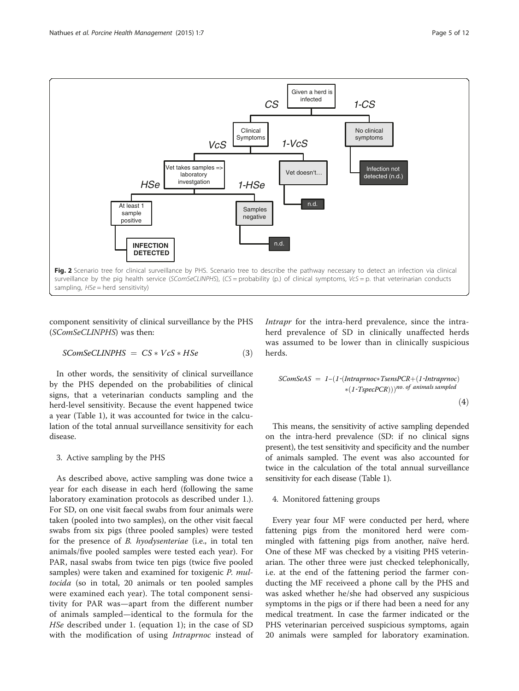<span id="page-4-0"></span>

component sensitivity of clinical surveillance by the PHS (SComSeCLINPHS) was then:

$$
SComSeCLINPHS = CS * VcS * HSe
$$
 (3)

In other words, the sensitivity of clinical surveillance by the PHS depended on the probabilities of clinical signs, that a veterinarian conducts sampling and the herd-level sensitivity. Because the event happened twice a year (Table [1\)](#page-2-0), it was accounted for twice in the calculation of the total annual surveillance sensitivity for each disease.

#### 3. Active sampling by the PHS

As described above, active sampling was done twice a year for each disease in each herd (following the same laboratory examination protocols as described under 1.). For SD, on one visit faecal swabs from four animals were taken (pooled into two samples), on the other visit faecal swabs from six pigs (three pooled samples) were tested for the presence of B. hyodysenteriae (i.e., in total ten animals/five pooled samples were tested each year). For PAR, nasal swabs from twice ten pigs (twice five pooled samples) were taken and examined for toxigenic P. multocida (so in total, 20 animals or ten pooled samples were examined each year). The total component sensitivity for PAR was—apart from the different number of animals sampled—identical to the formula for the HSe described under 1. (equation 1); in the case of SD with the modification of using Intraprnoc instead of Intrapr for the intra-herd prevalence, since the intraherd prevalence of SD in clinically unaffected herds was assumed to be lower than in clinically suspicious herds.

$$
SComSeAS = 1-(1-(Intraprnoc*TsensPCR+(1-Intraprnoc)\n*(1-TspecPCR)))no. of animals sampled
$$
\n(4)

This means, the sensitivity of active sampling depended on the intra-herd prevalence (SD: if no clinical signs present), the test sensitivity and specificity and the number of animals sampled. The event was also accounted for twice in the calculation of the total annual surveillance sensitivity for each disease (Table [1](#page-2-0)).

#### 4. Monitored fattening groups

Every year four MF were conducted per herd, where fattening pigs from the monitored herd were commingled with fattening pigs from another, naïve herd. One of these MF was checked by a visiting PHS veterinarian. The other three were just checked telephonically, i.e. at the end of the fattening period the farmer conducting the MF receiveed a phone call by the PHS and was asked whether he/she had observed any suspicious symptoms in the pigs or if there had been a need for any medical treatment. In case the farmer indicated or the PHS veterinarian perceived suspicious symptoms, again 20 animals were sampled for laboratory examination.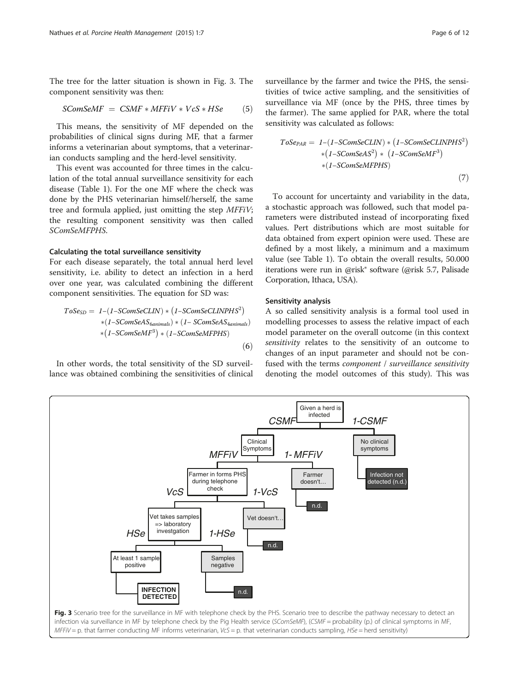The tree for the latter situation is shown in Fig. 3. The component sensitivity was then:

$$
SComSeMF = CSMF * MFFiV * VcS * HSe
$$
 (5)

This means, the sensitivity of MF depended on the probabilities of clinical signs during MF, that a farmer informs a veterinarian about symptoms, that a veterinarian conducts sampling and the herd-level sensitivity.

This event was accounted for three times in the calculation of the total annual surveillance sensitivity for each disease (Table [1](#page-2-0)). For the one MF where the check was done by the PHS veterinarian himself/herself, the same tree and formula applied, just omitting the step MFFiV; the resulting component sensitivity was then called SComSeMFPHS.

## Calculating the total surveillance sensitivity

For each disease separately, the total annual herd level sensitivity, i.e. ability to detect an infection in a herd over one year, was calculated combining the different component sensitivities. The equation for SD was:

$$
ToSeg_D = 1-(1-SComSeCLIN) * (1-SComSeCLINPHS2)
$$
  
\*(1-SComSeAS<sub>6animals</sub>) \* (1-SComSeAS<sub>4animals</sub>)  
\*(1-SComSeMF<sup>3</sup>) \* (1-SComSeMFPHS) (6)

In other words, the total sensitivity of the SD surveillance was obtained combining the sensitivities of clinical

$$
ToSepAR = 1-(1-SComSeCLIN) * (1-SComSeCLINPHS2) * (1-SComSeAS2) * (1-SComSeMF3) * (1-SComSeMPPHS)
$$
\n(7)

To account for uncertainty and variability in the data, a stochastic approach was followed, such that model parameters were distributed instead of incorporating fixed values. Pert distributions which are most suitable for data obtained from expert opinion were used. These are defined by a most likely, a minimum and a maximum value (see Table [1\)](#page-2-0). To obtain the overall results, 50.000 iterations were run in @risk® software (@risk 5.7, Palisade Corporation, Ithaca, USA).

## Sensitivity analysis

A so called sensitivity analysis is a formal tool used in modelling processes to assess the relative impact of each model parameter on the overall outcome (in this context sensitivity relates to the sensitivity of an outcome to changes of an input parameter and should not be confused with the terms component / surveillance sensitivity denoting the model outcomes of this study). This was

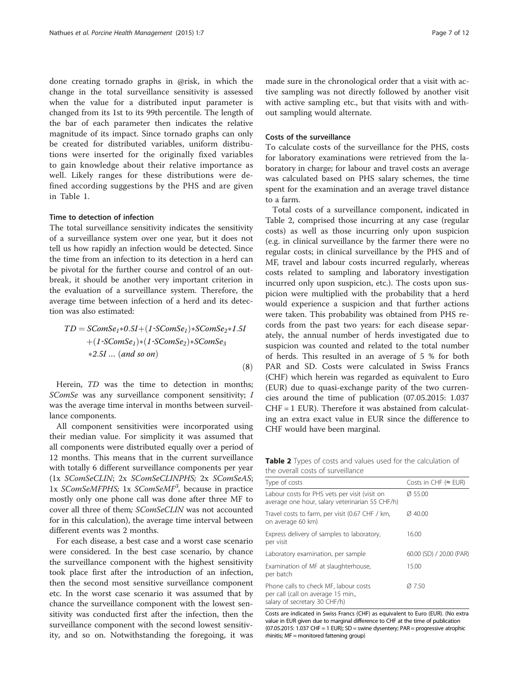done creating tornado graphs in @risk, in which the change in the total surveillance sensitivity is assessed when the value for a distributed input parameter is changed from its 1st to its 99th percentile. The length of the bar of each parameter then indicates the relative magnitude of its impact. Since tornado graphs can only be created for distributed variables, uniform distributions were inserted for the originally fixed variables to gain knowledge about their relative importance as well. Likely ranges for these distributions were defined according suggestions by the PHS and are given in Table [1.](#page-2-0)

## Time to detection of infection

The total surveillance sensitivity indicates the sensitivity of a surveillance system over one year, but it does not tell us how rapidly an infection would be detected. Since the time from an infection to its detection in a herd can be pivotal for the further course and control of an outbreak, it should be another very important criterion in the evaluation of a surveillance system. Therefore, the average time between infection of a herd and its detection was also estimated:

$$
TD = SComSe1*0.5I + (1-SComSe1)*SComSe2*1.5I
$$
  
+ (1-SComSe<sub>1</sub>)\*(1-SComSe<sub>2</sub>)\*SComSe<sub>3</sub>  
\*2.5I ... (and so on) (8)

Herein, TD was the time to detection in months; SComSe was any surveillance component sensitivity; I was the average time interval in months between surveillance components.

All component sensitivities were incorporated using their median value. For simplicity it was assumed that all components were distributed equally over a period of 12 months. This means that in the current surveillance with totally 6 different surveillance components per year (1x SComSeCLIN; 2x SComSeCLINPHS; 2x SComSeAS; 1x SComSeMFPHS; 1x SComSeMF<sup>3</sup>, because in practice mostly only one phone call was done after three MF to cover all three of them; SComSeCLIN was not accounted for in this calculation), the average time interval between different events was 2 months.

For each disease, a best case and a worst case scenario were considered. In the best case scenario, by chance the surveillance component with the highest sensitivity took place first after the introduction of an infection, then the second most sensitive surveillance component etc. In the worst case scenario it was assumed that by chance the surveillance component with the lowest sensitivity was conducted first after the infection, then the surveillance component with the second lowest sensitivity, and so on. Notwithstanding the foregoing, it was made sure in the chronological order that a visit with active sampling was not directly followed by another visit with active sampling etc., but that visits with and without sampling would alternate.

## Costs of the surveillance

To calculate costs of the surveillance for the PHS, costs for laboratory examinations were retrieved from the laboratory in charge; for labour and travel costs an average was calculated based on PHS salary schemes, the time spent for the examination and an average travel distance to a farm.

Total costs of a surveillance component, indicated in Table 2, comprised those incurring at any case (regular costs) as well as those incurring only upon suspicion (e.g. in clinical surveillance by the farmer there were no regular costs; in clinical surveillance by the PHS and of MF, travel and labour costs incurred regularly, whereas costs related to sampling and laboratory investigation incurred only upon suspicion, etc.). The costs upon suspicion were multiplied with the probability that a herd would experience a suspicion and that further actions were taken. This probability was obtained from PHS records from the past two years: for each disease separately, the annual number of herds investigated due to suspicion was counted and related to the total number of herds. This resulted in an average of 5 % for both PAR and SD. Costs were calculated in Swiss Francs (CHF) which herein was regarded as equivalent to Euro (EUR) due to quasi-exchange parity of the two currencies around the time of publication (07.05.2015: 1.037  $CHF = 1$  EUR). Therefore it was abstained from calculating an extra exact value in EUR since the difference to CHF would have been marginal.

Table 2 Types of costs and values used for the calculation of the overall costs of surveillance

| Type of costs                                                                                                | Costs in CHF ( $\approx$ EUR) |
|--------------------------------------------------------------------------------------------------------------|-------------------------------|
| Labour costs for PHS vets per visit (visit on<br>average one hour, salary veterinarian 55 CHF/h)             | 0.55.00                       |
| Travel costs to farm, per visit (0.67 CHF / km,<br>on average 60 km)                                         | $\varnothing$ 40.00           |
| Express delivery of samples to laboratory,<br>per visit                                                      | 16.00                         |
| Laboratory examination, per sample                                                                           | 60.00 (SD) / 20.00 (PAR)      |
| Examination of MF at slaughterhouse,<br>per batch                                                            | 15.00                         |
| Phone calls to check MF, labour costs<br>per call (call on average 15 min.,<br>salary of secretary 30 CHF/h) | Ø 7.50                        |

Costs are indicated in Swiss Francs (CHF) as equivalent to Euro (EUR). (No extra value in EUR given due to marginal difference to CHF at the time of publication (07.05.2015: 1.037 CHF = 1 EUR); SD = swine dysentery; PAR = progressive atrophic rhinitis; MF = monitored fattening group)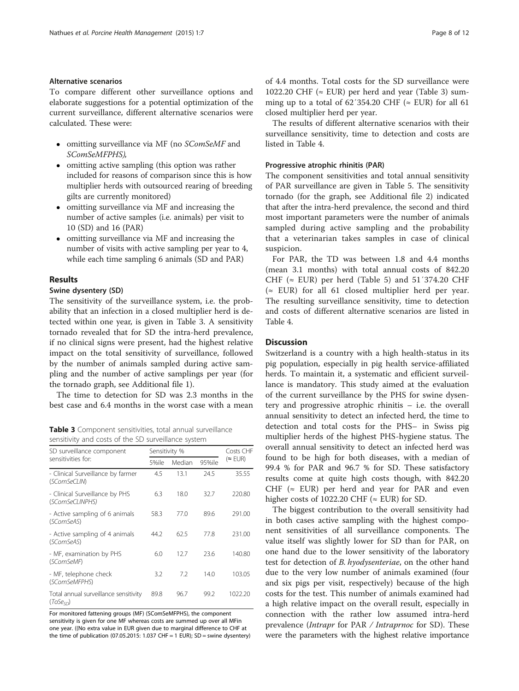#### Alternative scenarios

To compare different other surveillance options and elaborate suggestions for a potential optimization of the current surveillance, different alternative scenarios were calculated. These were:

- omitting surveillance via MF (no *SComSeMF* and SComSeMFPHS),
- omitting active sampling (this option was rather included for reasons of comparison since this is how multiplier herds with outsourced rearing of breeding gilts are currently monitored)
- omitting surveillance via MF and increasing the number of active samples (i.e. animals) per visit to 10 (SD) and 16 (PAR)
- omitting surveillance via MF and increasing the number of visits with active sampling per year to 4, while each time sampling 6 animals (SD and PAR)

## **Results**

## Swine dysentery (SD)

The sensitivity of the surveillance system, i.e. the probability that an infection in a closed multiplier herd is detected within one year, is given in Table 3. A sensitivity tornado revealed that for SD the intra-herd prevalence, if no clinical signs were present, had the highest relative impact on the total sensitivity of surveillance, followed by the number of animals sampled during active sampling and the number of active samplings per year (for the tornado graph, see Additional file [1\)](#page-10-0).

The time to detection for SD was 2.3 months in the best case and 6.4 months in the worst case with a mean

Table 3 Component sensitivities, total annual surveillance sensitivity and costs of the SD surveillance system

| SD surveillance component                                      | Sensitivity % | Costs CHF |      |                 |  |
|----------------------------------------------------------------|---------------|-----------|------|-----------------|--|
| sensitivities for:                                             | 5%ile         | Median    |      | $(\approx$ EUR) |  |
| - Clinical Surveillance by farmer<br>(SComSeCLIN)              | 4.5           | 13.1      | 24.5 | 35.55           |  |
| - Clinical Surveillance by PHS<br>(SComSeCLINPHS)              | 6.3           | 18.0      | 32.7 | 220.80          |  |
| - Active sampling of 6 animals<br>(SComSeAS)                   | 58.3          | 77.0      | 89.6 | 291.00          |  |
| - Active sampling of 4 animals<br>(SComSeAS)                   | 44.2          | 62.5      | 77.8 | 231.00          |  |
| - MF, examination by PHS<br>(SComSeMF)                         | 6.0           | 12.7      | 23.6 | 140.80          |  |
| - MF, telephone check<br>(SComSeMFPHS)                         | 3.2           | 7.2       | 14.0 | 103.05          |  |
| Total annual surveillance sensitivity<br>(ToSe <sub>SD</sub> ) | 89.8          | 96.7      | 99.2 | 1022.20         |  |

For monitored fattening groups (MF) (SComSeMFPHS), the component sensitivity is given for one MF whereas costs are summed up over all MFin one year. ((No extra value in EUR given due to marginal difference to CHF at the time of publication (07.05.2015: 1.037 CHF = 1 EUR); SD = swine dysentery) of 4.4 months. Total costs for the SD surveillance were 1022.20 CHF ( $\approx$  EUR) per herd and year (Table 3) summing up to a total of  $62'354.20$  CHF ( $\approx$  EUR) for all 61 closed multiplier herd per year.

The results of different alternative scenarios with their surveillance sensitivity, time to detection and costs are listed in Table [4](#page-8-0).

#### Progressive atrophic rhinitis (PAR)

The component sensitivities and total annual sensitivity of PAR surveillance are given in Table [5.](#page-8-0) The sensitivity tornado (for the graph, see Additional file [2\)](#page-11-0) indicated that after the intra-herd prevalence, the second and third most important parameters were the number of animals sampled during active sampling and the probability that a veterinarian takes samples in case of clinical suspicion.

For PAR, the TD was between 1.8 and 4.4 months (mean 3.1 months) with total annual costs of 842.20 CHF ( $\approx$  EUR) per herd (Table [5\)](#page-8-0) and 51'374.20 CHF  $($   $\approx$  EUR) for all 61 closed multiplier herd per year. The resulting surveillance sensitivity, time to detection and costs of different alternative scenarios are listed in Table [4](#page-8-0).

## Discussion

Switzerland is a country with a high health-status in its pig population, especially in pig health service-affiliated herds. To maintain it, a systematic and efficient surveillance is mandatory. This study aimed at the evaluation of the current surveillance by the PHS for swine dysentery and progressive atrophic rhinitis – i.e. the overall annual sensitivity to detect an infected herd, the time to detection and total costs for the PHS– in Swiss pig multiplier herds of the highest PHS-hygiene status. The overall annual sensitivity to detect an infected herd was found to be high for both diseases, with a median of 99.4 % for PAR and 96.7 % for SD. These satisfactory results come at quite high costs though, with 842.20 CHF ( $\approx$  EUR) per herd and year for PAR and even higher costs of 1022.20 CHF ( $\approx$  EUR) for SD.

The biggest contribution to the overall sensitivity had in both cases active sampling with the highest component sensitivities of all surveillance components. The value itself was slightly lower for SD than for PAR, on one hand due to the lower sensitivity of the laboratory test for detection of B. hyodysenteriae, on the other hand due to the very low number of animals examined (four and six pigs per visit, respectively) because of the high costs for the test. This number of animals examined had a high relative impact on the overall result, especially in connection with the rather low assumed intra-herd prevalence (Intrapr for PAR / Intraprnoc for SD). These were the parameters with the highest relative importance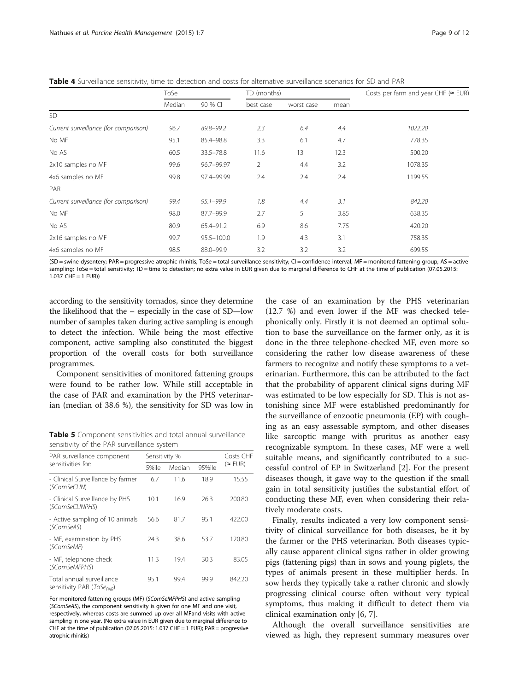<span id="page-8-0"></span>Table 4 Surveillance sensitivity, time to detection and costs for alternative surveillance scenarios for SD and PAR

|                                       | ToSe   |                | TD (months)    |            |      | Costs per farm and year CHF ( $\approx$ EUR) |
|---------------------------------------|--------|----------------|----------------|------------|------|----------------------------------------------|
|                                       | Median | 90 % CI        | best case      | worst case | mean |                                              |
| SD                                    |        |                |                |            |      |                                              |
| Current surveillance (for comparison) | 96.7   | 89.8-99.2      | 2.3            | 6.4        | 4.4  | 1022.20                                      |
| No MF                                 | 95.1   | 85.4-98.8      | 3.3            | 6.1        | 4.7  | 778.35                                       |
| No AS                                 | 60.5   | $33.5 - 78.8$  | 11.6           | 13         | 12.3 | 500.20                                       |
| 2x10 samples no MF                    | 99.6   | 96.7-99.97     | $\overline{2}$ | 4.4        | 3.2  | 1078.35                                      |
| 4x6 samples no MF                     | 99.8   | 97.4-99.99     | 2.4            | 2.4        | 2.4  | 1199.55                                      |
| PAR                                   |        |                |                |            |      |                                              |
| Current surveillance (for comparison) | 99.4   | $95.1 - 99.9$  | 1.8            | 4.4        | 3.1  | 842.20                                       |
| No MF                                 | 98.0   | 87.7-99.9      | 2.7            | 5          | 3.85 | 638.35                                       |
| No AS                                 | 80.9   | 65.4-91.2      | 6.9            | 8.6        | 7.75 | 420.20                                       |
| 2x16 samples no MF                    | 99.7   | $95.5 - 100.0$ | 1.9            | 4.3        | 3.1  | 758.35                                       |
| 4x6 samples no MF                     | 98.5   | 88.0-99.9      | 3.2            | 3.2        | 3.2  | 699.55                                       |
|                                       |        |                |                |            |      |                                              |

(SD = swine dysentery; PAR = progressive atrophic rhinitis; ToSe = total surveillance sensitivity; CI = confidence interval; MF = monitored fattening group; AS = active sampling; ToSe = total sensitivity; TD = time to detection; no extra value in EUR given due to marginal difference to CHF at the time of publication (07.05.2015:  $1.037$  CHF = 1 EUR))

according to the sensitivity tornados, since they determine the likelihood that the – especially in the case of SD—low number of samples taken during active sampling is enough to detect the infection. While being the most effective component, active sampling also constituted the biggest proportion of the overall costs for both surveillance programmes.

Component sensitivities of monitored fattening groups were found to be rather low. While still acceptable in the case of PAR and examination by the PHS veterinarian (median of 38.6 %), the sensitivity for SD was low in

Table 5 Component sensitivities and total annual surveillance sensitivity of the PAR surveillance system

| PAR surveillance component                                    | Sensitivity % | Costs CHF |        |                 |
|---------------------------------------------------------------|---------------|-----------|--------|-----------------|
| sensitivities for:                                            | 5%ile         | Median    | 95%ile | $(\approx$ EUR) |
| - Clinical Surveillance by farmer<br>(SComSeCLIN)             | 6.7           | 11.6      | 18.9   | 15.55           |
| - Clinical Surveillance by PHS<br>(SComSeCLINPHS)             | 10.1          | 16.9      | 26.3   | 200.80          |
| - Active sampling of 10 animals<br>(SComSeAS)                 | 56.6          | 81.7      | 95.1   | 422.00          |
| - MF, examination by PHS<br>(SComSeMF)                        | 24.3          | 38.6      | 53.7   | 120.80          |
| - MF, telephone check<br>(SComSeMFPHS)                        | 11.3          | 19.4      | 30.3   | 83.05           |
| Total annual surveillance<br>sensitivity PAR ( $ToSe_{PAR}$ ) | 95.1          | 99.4      | 99.9   | 842.20          |

For monitored fattening groups (MF) (SComSeMFPHS) and active sampling (SComSeAS), the component sensitivity is given for one MF and one visit, respectively, whereas costs are summed up over all MFand visits with active sampling in one year. (No extra value in EUR given due to marginal difference to CHF at the time of publication (07.05.2015: 1.037 CHF = 1 EUR);  $PAR = progressive$ atrophic rhinitis)

the case of an examination by the PHS veterinarian (12.7 %) and even lower if the MF was checked telephonically only. Firstly it is not deemed an optimal solution to base the surveillance on the farmer only, as it is done in the three telephone-checked MF, even more so considering the rather low disease awareness of these farmers to recognize and notify these symptoms to a veterinarian. Furthermore, this can be attributed to the fact that the probability of apparent clinical signs during MF was estimated to be low especially for SD. This is not astonishing since MF were established predominantly for the surveillance of enzootic pneumonia (EP) with coughing as an easy assessable symptom, and other diseases like sarcoptic mange with pruritus as another easy recognizable symptom. In these cases, MF were a well suitable means, and significantly contributed to a successful control of EP in Switzerland [[2\]](#page-11-0). For the present diseases though, it gave way to the question if the small gain in total sensitivity justifies the substantial effort of conducting these MF, even when considering their relatively moderate costs.

Finally, results indicated a very low component sensitivity of clinical surveillance for both diseases, be it by the farmer or the PHS veterinarian. Both diseases typically cause apparent clinical signs rather in older growing pigs (fattening pigs) than in sows and young piglets, the types of animals present in these multiplier herds. In sow herds they typically take a rather chronic and slowly progressing clinical course often without very typical symptoms, thus making it difficult to detect them via clinical examination only [\[6](#page-11-0), [7](#page-11-0)].

Although the overall surveillance sensitivities are viewed as high, they represent summary measures over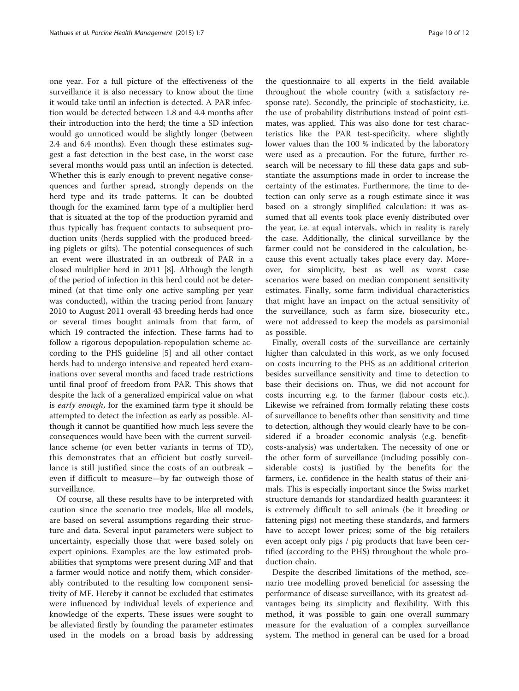one year. For a full picture of the effectiveness of the surveillance it is also necessary to know about the time it would take until an infection is detected. A PAR infection would be detected between 1.8 and 4.4 months after their introduction into the herd; the time a SD infection would go unnoticed would be slightly longer (between 2.4 and 6.4 months). Even though these estimates suggest a fast detection in the best case, in the worst case several months would pass until an infection is detected. Whether this is early enough to prevent negative consequences and further spread, strongly depends on the herd type and its trade patterns. It can be doubted though for the examined farm type of a multiplier herd that is situated at the top of the production pyramid and thus typically has frequent contacts to subsequent production units (herds supplied with the produced breeding piglets or gilts). The potential consequences of such an event were illustrated in an outbreak of PAR in a closed multiplier herd in 2011 [[8](#page-11-0)]. Although the length of the period of infection in this herd could not be determined (at that time only one active sampling per year was conducted), within the tracing period from January 2010 to August 2011 overall 43 breeding herds had once or several times bought animals from that farm, of which 19 contracted the infection. These farms had to follow a rigorous depopulation-repopulation scheme according to the PHS guideline [[5\]](#page-11-0) and all other contact herds had to undergo intensive and repeated herd examinations over several months and faced trade restrictions until final proof of freedom from PAR. This shows that despite the lack of a generalized empirical value on what is early enough, for the examined farm type it should be attempted to detect the infection as early as possible. Although it cannot be quantified how much less severe the consequences would have been with the current surveillance scheme (or even better variants in terms of TD), this demonstrates that an efficient but costly surveillance is still justified since the costs of an outbreak – even if difficult to measure—by far outweigh those of surveillance.

Of course, all these results have to be interpreted with caution since the scenario tree models, like all models, are based on several assumptions regarding their structure and data. Several input parameters were subject to uncertainty, especially those that were based solely on expert opinions. Examples are the low estimated probabilities that symptoms were present during MF and that a farmer would notice and notify them, which considerably contributed to the resulting low component sensitivity of MF. Hereby it cannot be excluded that estimates were influenced by individual levels of experience and knowledge of the experts. These issues were sought to be alleviated firstly by founding the parameter estimates used in the models on a broad basis by addressing

the questionnaire to all experts in the field available throughout the whole country (with a satisfactory response rate). Secondly, the principle of stochasticity, i.e. the use of probability distributions instead of point estimates, was applied. This was also done for test characteristics like the PAR test-specificity, where slightly lower values than the 100 % indicated by the laboratory were used as a precaution. For the future, further research will be necessary to fill these data gaps and substantiate the assumptions made in order to increase the certainty of the estimates. Furthermore, the time to detection can only serve as a rough estimate since it was based on a strongly simplified calculation: it was assumed that all events took place evenly distributed over the year, i.e. at equal intervals, which in reality is rarely the case. Additionally, the clinical surveillance by the farmer could not be considered in the calculation, because this event actually takes place every day. Moreover, for simplicity, best as well as worst case scenarios were based on median component sensitivity estimates. Finally, some farm individual characteristics that might have an impact on the actual sensitivity of the surveillance, such as farm size, biosecurity etc., were not addressed to keep the models as parsimonial as possible.

Finally, overall costs of the surveillance are certainly higher than calculated in this work, as we only focused on costs incurring to the PHS as an additional criterion besides surveillance sensitivity and time to detection to base their decisions on. Thus, we did not account for costs incurring e.g. to the farmer (labour costs etc.). Likewise we refrained from formally relating these costs of surveillance to benefits other than sensitivity and time to detection, although they would clearly have to be considered if a broader economic analysis (e.g. benefitcosts-analysis) was undertaken. The necessity of one or the other form of surveillance (including possibly considerable costs) is justified by the benefits for the farmers, i.e. confidence in the health status of their animals. This is especially important since the Swiss market structure demands for standardized health guarantees: it is extremely difficult to sell animals (be it breeding or fattening pigs) not meeting these standards, and farmers have to accept lower prices; some of the big retailers even accept only pigs / pig products that have been certified (according to the PHS) throughout the whole production chain.

Despite the described limitations of the method, scenario tree modelling proved beneficial for assessing the performance of disease surveillance, with its greatest advantages being its simplicity and flexibility. With this method, it was possible to gain one overall summary measure for the evaluation of a complex surveillance system. The method in general can be used for a broad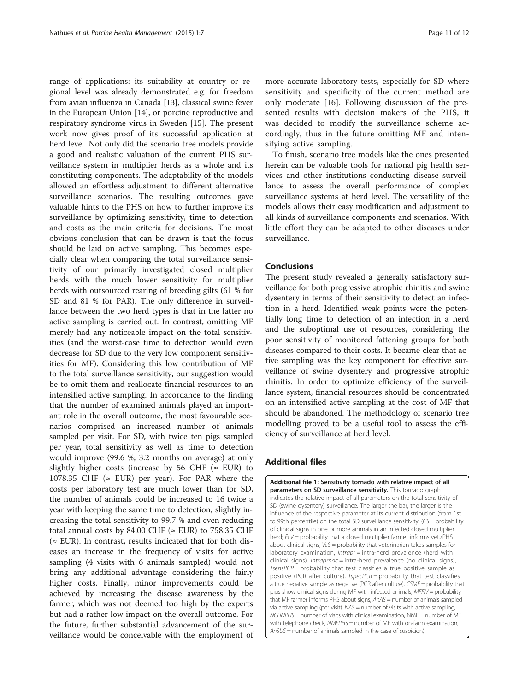<span id="page-10-0"></span>range of applications: its suitability at country or regional level was already demonstrated e.g. for freedom from avian influenza in Canada [[13\]](#page-11-0), classical swine fever in the European Union [\[14](#page-11-0)], or porcine reproductive and respiratory syndrome virus in Sweden [[15\]](#page-11-0). The present work now gives proof of its successful application at herd level. Not only did the scenario tree models provide a good and realistic valuation of the current PHS surveillance system in multiplier herds as a whole and its constituting components. The adaptability of the models allowed an effortless adjustment to different alternative surveillance scenarios. The resulting outcomes gave valuable hints to the PHS on how to further improve its surveillance by optimizing sensitivity, time to detection and costs as the main criteria for decisions. The most obvious conclusion that can be drawn is that the focus should be laid on active sampling. This becomes especially clear when comparing the total surveillance sensitivity of our primarily investigated closed multiplier herds with the much lower sensitivity for multiplier herds with outsourced rearing of breeding gilts (61 % for SD and 81 % for PAR). The only difference in surveillance between the two herd types is that in the latter no active sampling is carried out. In contrast, omitting MF merely had any noticeable impact on the total sensitivities (and the worst-case time to detection would even decrease for SD due to the very low component sensitivities for MF). Considering this low contribution of MF to the total surveillance sensitivity, our suggestion would be to omit them and reallocate financial resources to an intensified active sampling. In accordance to the finding that the number of examined animals played an important role in the overall outcome, the most favourable scenarios comprised an increased number of animals sampled per visit. For SD, with twice ten pigs sampled per year, total sensitivity as well as time to detection would improve (99.6 %; 3.2 months on average) at only slightly higher costs (increase by 56 CHF ( $\approx$  EUR) to 1078.35 CHF ( $\approx$  EUR) per year). For PAR where the costs per laboratory test are much lower than for SD, the number of animals could be increased to 16 twice a year with keeping the same time to detection, slightly increasing the total sensitivity to 99.7 % and even reducing total annual costs by 84.00 CHF ( $\approx$  EUR) to 758.35 CHF  $\approx$  EUR). In contrast, results indicated that for both diseases an increase in the frequency of visits for active sampling (4 visits with 6 animals sampled) would not bring any additional advantage considering the fairly higher costs. Finally, minor improvements could be achieved by increasing the disease awareness by the farmer, which was not deemed too high by the experts but had a rather low impact on the overall outcome. For the future, further substantial advancement of the surveillance would be conceivable with the employment of more accurate laboratory tests, especially for SD where sensitivity and specificity of the current method are only moderate [\[16\]](#page-11-0). Following discussion of the presented results with decision makers of the PHS, it was decided to modify the surveillance scheme accordingly, thus in the future omitting MF and intensifying active sampling.

To finish, scenario tree models like the ones presented herein can be valuable tools for national pig health services and other institutions conducting disease surveillance to assess the overall performance of complex surveillance systems at herd level. The versatility of the models allows their easy modification and adjustment to all kinds of surveillance components and scenarios. With little effort they can be adapted to other diseases under surveillance.

## **Conclusions**

The present study revealed a generally satisfactory surveillance for both progressive atrophic rhinitis and swine dysentery in terms of their sensitivity to detect an infection in a herd. Identified weak points were the potentially long time to detection of an infection in a herd and the suboptimal use of resources, considering the poor sensitivity of monitored fattening groups for both diseases compared to their costs. It became clear that active sampling was the key component for effective surveillance of swine dysentery and progressive atrophic rhinitis. In order to optimize efficiency of the surveillance system, financial resources should be concentrated on an intensified active sampling at the cost of MF that should be abandoned. The methodology of scenario tree modelling proved to be a useful tool to assess the efficiency of surveillance at herd level.

## Additional files

[Additional file 1:](http://www.porcinehealthmanagement.com/content/supplementary/s40813-015-0001-2-s1.pdf) Sensitivity tornado with relative impact of all parameters on SD surveillance sensitivity. This tornado graph indicates the relative impact of all parameters on the total sensitivity of SD (swine dysentery) surveillance. The larger the bar, the larger is the influence of the respective parameter at its current distribution (from 1st to 99th percentile) on the total SD surveillance sensitivity. (CS = probability of clinical signs in one or more animals in an infected closed multiplier herd;  $FcV =$  probability that a closed multiplier farmer informs vet./PHS about clinical signs, VcS = probability that veterinarian takes samples for laboratory examination, Intrapr = intra-herd prevalence (herd with clinical signs), Intraprnoc = intra-herd prevalence (no clinical signs),  $TsensPCR = probability$  that test classifies a true positive sample as positive (PCR after culture),  $TspecPCR = probability$  that test classifies a true negative sample as negative (PCR after culture), CSMF = probability that pigs show clinical signs during MF with infected animals, MFFiV = probability that MF farmer informs PHS about signs, AnAS = number of animals sampled via active sampling (per visit), NAS = number of visits with active sampling, NCLINPHS = number of visits with clinical examination, NMF = number of MF with telephone check, NMFPHS = number of MF with on-farm examination, AnSUS = number of animals sampled in the case of suspicion).